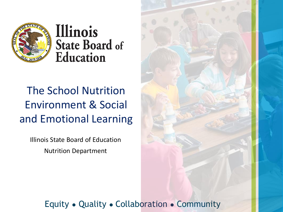

Illinois **State Board of Education** 

#### The School Nutrition Environment & Social and Emotional Learning

Illinois State Board of Education Nutrition Department

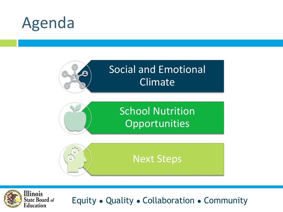



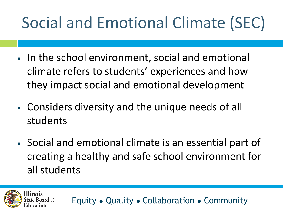# Social and Emotional Climate (SEC)

- In the school environment, social and emotional climate refers to students' experiences and how they impact social and emotional development
- **Example 1** Considers diversity and the unique needs of all students
- Social and emotional climate is an essential part of creating a healthy and safe school environment for all students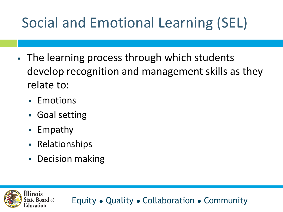#### Social and Emotional Learning (SEL)

- The learning process through which students develop recognition and management skills as they relate to:
	- Emotions
	- Goal setting
	- Empathy

llinois

- Relationships
- Decision making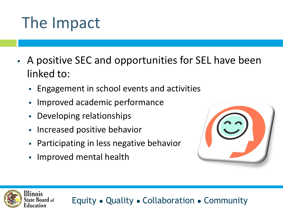## The Impact

- A positive SEC and opportunities for SEL have been linked to:
	- Engagement in school events and activities
	- Improved academic performance
	- Developing relationships
	- Increased positive behavior
	- Participating in less negative behavior
	- Improved mental health

linois



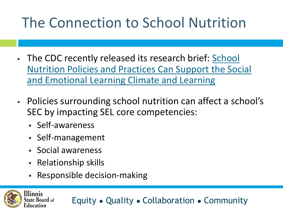#### The Connection to School Nutrition

- The CDC recently released its research brief: School [Nutrition Policies and Practices Can Support the Social](https://www.cdc.gov/healthyschools/nutrition/pdf/321123-A_FS_SchoolNutrition.pdf) and Emotional Learning Climate and Learning
- Policies surrounding school nutrition can affect a school's SEC by impacting SEL core competencies:
	- Self-awareness
	- Self-management
	- Social awareness
	- Relationship skills

llinois

Responsible decision-making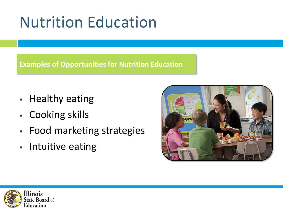### Nutrition Education

**Examples of Opportunities for Nutrition Education**

- Healthy eating
- Cooking skills
- Food marketing strategies
- Intuitive eating



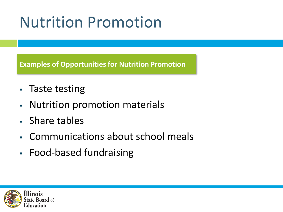### Nutrition Promotion

**Examples of Opportunities for Nutrition Promotion**

- Taste testing
- Nutrition promotion materials
- Share tables
- Communications about school meals
- Food-based fundraising

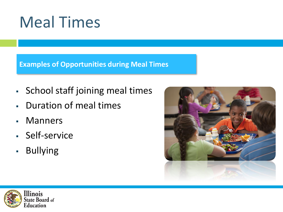### Meal Times

**Examples of Opportunities during Meal Times**

- School staff joining meal times
- Duration of meal times
- Manners
- Self-service
- Bullying



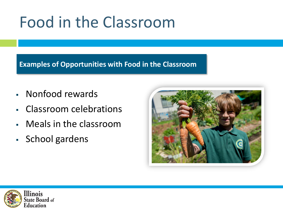#### Food in the Classroom

#### **Examples of Opportunities with Food in the Classroom**

- Nonfood rewards
- Classroom celebrations
- Meals in the classroom
- School gardens



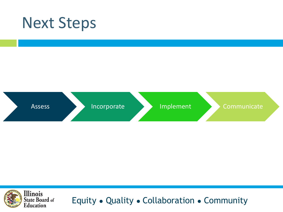#### Next Steps



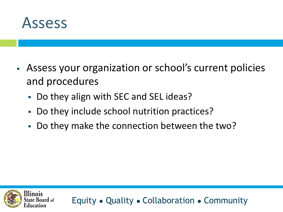

- **EXTER** Assess your organization or school's current policies and procedures
	- Do they align with SEC and SEL ideas?
	- Do they include school nutrition practices?
	- Do they make the connection between the two?

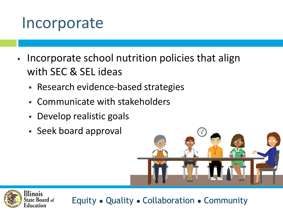#### Incorporate

- Incorporate school nutrition policies that align with SEC & SEL ideas
	- Research evidence-based strategies
	- Communicate with stakeholders
	- Develop realistic goals
	- Seek board approval



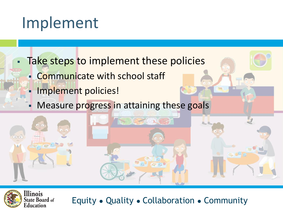#### Implement

- Take steps to implement these policies
	- **EXECOMMUNICATE With school staff** 
		- Implement policies!
		- Measure progress in attaining these goals

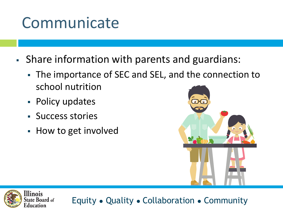#### Communicate

- Share information with parents and guardians:
	- The importance of SEC and SEL, and the connection to school nutrition
	- Policy updates
	- Success stories
	- How to get involved



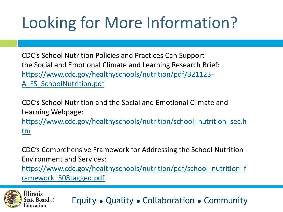# Looking for More Information?

CDC's School Nutrition Policies and Practices Can Support the Social and Emotional Climate and Learning Research Brief: [https://www.cdc.gov/healthyschools/nutrition/pdf/321123-](https://www.cdc.gov/healthyschools/nutrition/pdf/321123-A_FS_SchoolNutrition.pdf) A\_FS\_SchoolNutrition.pdf

CDC's School Nutrition and the Social and Emotional Climate and Learning Webpage: [https://www.cdc.gov/healthyschools/nutrition/school\\_nutrition\\_sec.h](https://www.cdc.gov/healthyschools/nutrition/school_nutrition_sec.htm) tm

CDC's Comprehensive Framework for Addressing the School Nutrition Environment and Services:

[https://www.cdc.gov/healthyschools/nutrition/pdf/school\\_nutrition\\_f](https://www.cdc.gov/healthyschools/nutrition/pdf/school_nutrition_framework_508tagged.pdf) ramework\_508tagged.pdf